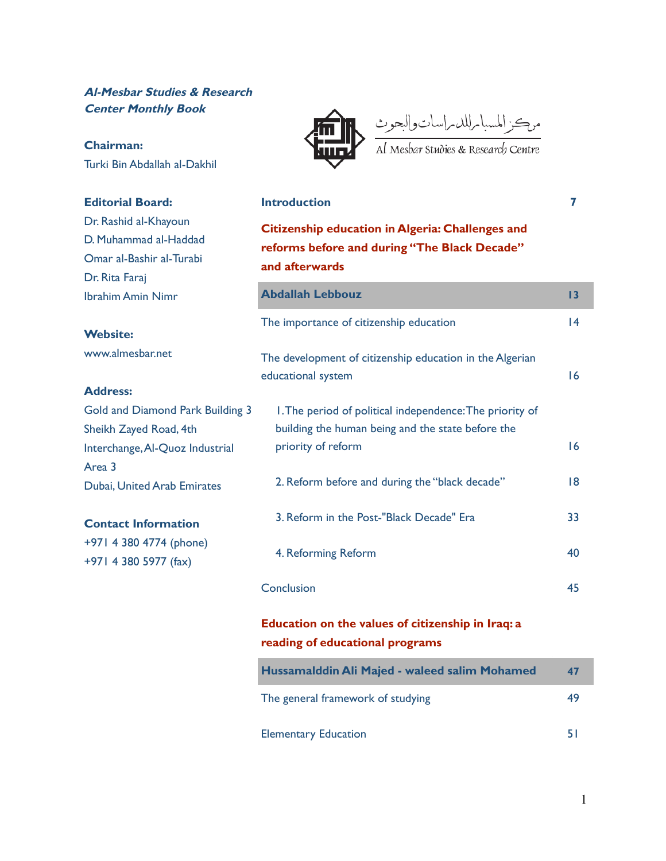## **Al-Mesbar Studies & Research Center Monthly Book**

### **Chairman:** Turki Bin Abdallah al-Dakhil

## **Editorial Board:**

Dr. Rashid al-Khayoun D. Muhammad al-Haddad Omar al-Bashir al-Turabi Dr. Rita Faraj Ibrahim Amin Nimr

#### **Website:**

www.almesbar.net

### **Address:**

Gold and Diamond Park Building 3 Sheikh Zayed Road, 4th Interchange,Al-Quoz Industrial Area 3 Dubai, United Arab Emirates

## **Contact Information**

+971 4 380 4774 (phone) +971 4 380 5977 (fax)



مرڪز المسبا پرللد پراسات والبحوث<br>Al Mesbar studies & Research Centre

**Introduction 7**

# **Citizenship education in Algeria: Challenges and reforms before and during "The Black Decade" and afterwards Abdallah Lebbouz 13** The importance of citizenship education 14 The development of citizenship education in the Algerian educational system and the state of the state of the state of the state of the state of the state of the state of the state of the state of the state of the state of the state of the state of the state of the state of the 1.The period of political independence:The priority of building the human being and the state before the priority of reform and the state of the state of the state of the state of the state of the state of the state 2. Reform before and during the "black decade" 18 3. Reform in the Post-"Black Decade" Era 33 4. Reforming Reform 40 Conclusion 45

# **Education on the values of citizenship in Iraq: a reading of educational programs**

| Hussamalddin Ali Majed - waleed salim Mohamed | 47 |
|-----------------------------------------------|----|
| The general framework of studying             | 49 |
| <b>Elementary Education</b>                   | 51 |

1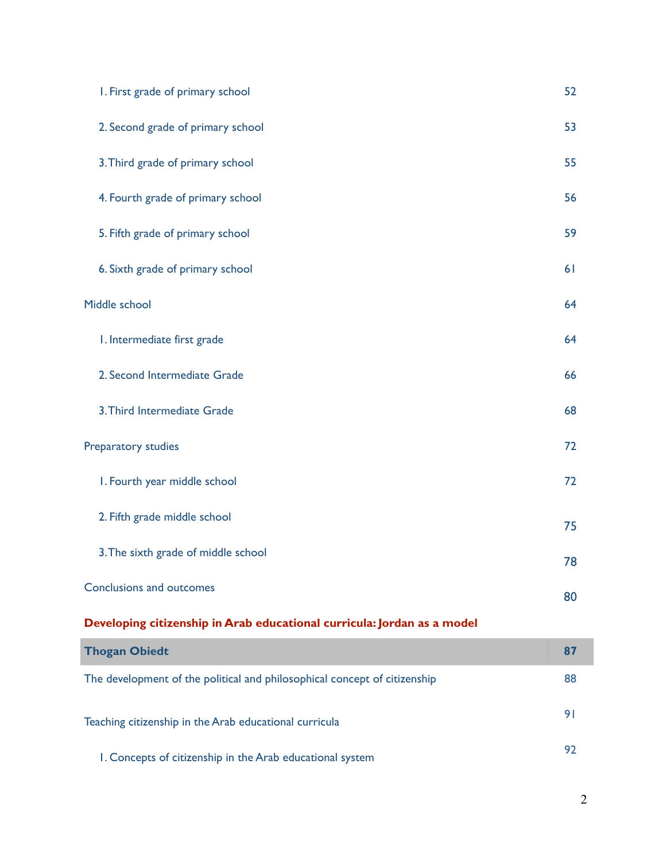| I. First grade of primary school                                          | 52             |
|---------------------------------------------------------------------------|----------------|
| 2. Second grade of primary school                                         | 53             |
| 3. Third grade of primary school                                          | 55             |
| 4. Fourth grade of primary school                                         | 56             |
| 5. Fifth grade of primary school                                          | 59             |
| 6. Sixth grade of primary school                                          | 61             |
| Middle school                                                             | 64             |
| I. Intermediate first grade                                               | 64             |
| 2. Second Intermediate Grade                                              | 66             |
| 3. Third Intermediate Grade                                               | 68             |
| Preparatory studies                                                       | 72             |
| I. Fourth year middle school                                              | 72             |
| 2. Fifth grade middle school                                              | 75             |
| 3. The sixth grade of middle school                                       | 78             |
| Conclusions and outcomes                                                  | 80             |
| Developing citizenship in Arab educational curricula: Jordan as a model   |                |
| <b>Thogan Obiedt</b>                                                      | 87             |
| The development of the political and philosophical concept of citizenship | 88             |
| Teaching citizenship in the Arab educational curricula                    | 9 <sub>1</sub> |
|                                                                           | 92             |

1. Concepts of citizenship in the Arab educational system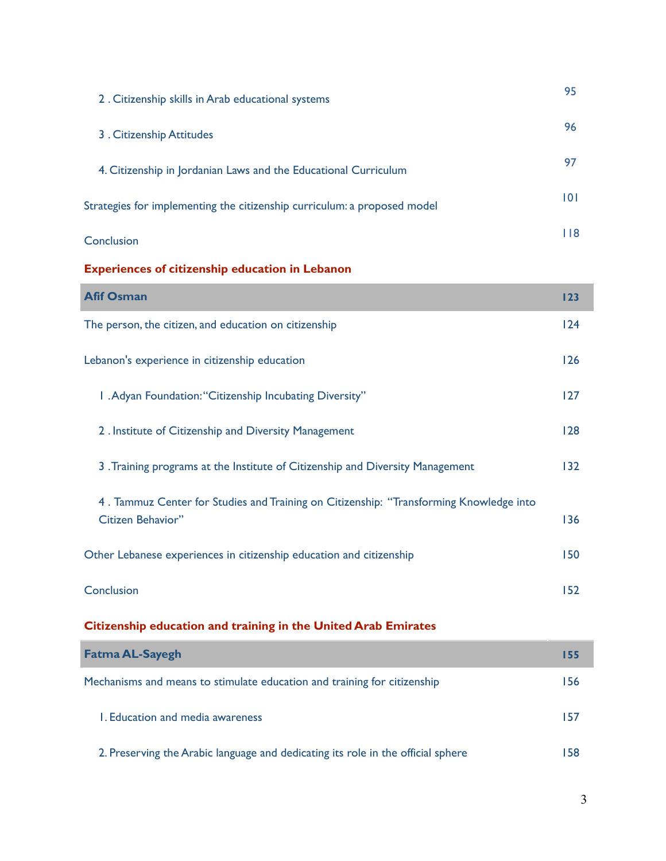| 2. Citizenship skills in Arab educational systems                        | 95  |
|--------------------------------------------------------------------------|-----|
| 3 . Citizenship Attitudes                                                | 96  |
| 4. Citizenship in Jordanian Laws and the Educational Curriculum          | 97  |
| Strategies for implementing the citizenship curriculum: a proposed model | 0   |
| Conclusion                                                               | 118 |

## **Experiences of citizenship education in Lebanon**

| <b>Afif Osman</b>                                                                      | 123 |
|----------------------------------------------------------------------------------------|-----|
| The person, the citizen, and education on citizenship                                  | 124 |
| Lebanon's experience in citizenship education                                          | 126 |
| I . Adyan Foundation: "Citizenship Incubating Diversity"                               | 127 |
| 2. Institute of Citizenship and Diversity Management                                   | 128 |
| 3. Training programs at the Institute of Citizenship and Diversity Management          | 132 |
| 4. Tammuz Center for Studies and Training on Citizenship: "Transforming Knowledge into |     |
| Citizen Behavior"                                                                      | 136 |
| Other Lebanese experiences in citizenship education and citizenship                    | 150 |
| Conclusion                                                                             | 152 |

# **Citizenship education and training in the United Arab Emirates**

| <b>Fatma AL-Sayegh</b>                                                           | 155 |
|----------------------------------------------------------------------------------|-----|
| Mechanisms and means to stimulate education and training for citizenship         | 156 |
| L. Education and media awareness                                                 | 157 |
| 2. Preserving the Arabic language and dedicating its role in the official sphere | 158 |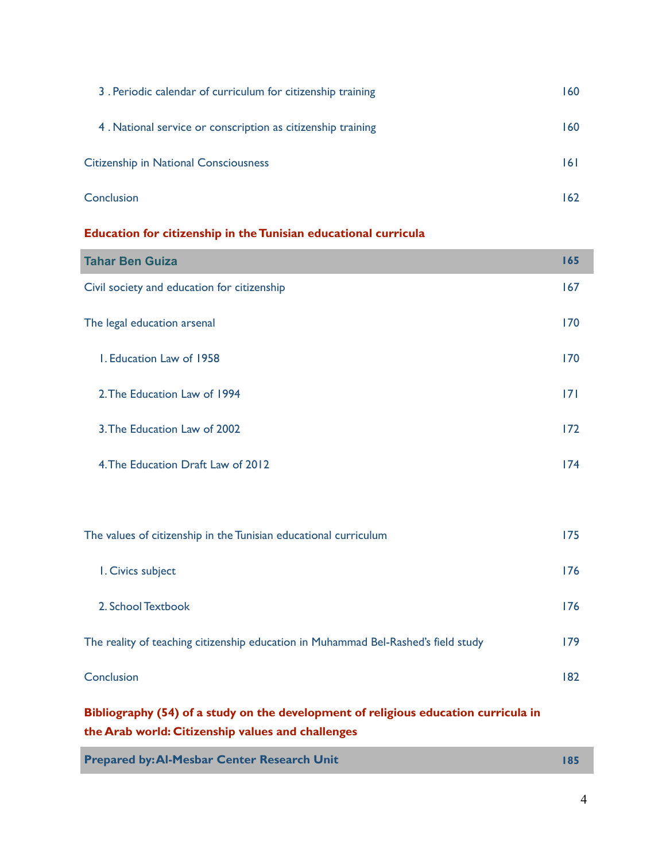| 3. Periodic calendar of curriculum for citizenship training | 160. |
|-------------------------------------------------------------|------|
| 4. National service or conscription as citizenship training | 160  |
| <b>Citizenship in National Consciousness</b>                | 16 I |
| Conclusion                                                  | 162  |

### **Education for citizenship in the Tunisian educational curricula**

| <b>Tahar Ben Guiza</b>                                                             | 165 |
|------------------------------------------------------------------------------------|-----|
| Civil society and education for citizenship                                        | 167 |
| The legal education arsenal                                                        | 170 |
| I. Education Law of 1958                                                           | 170 |
| 2. The Education Law of 1994                                                       | 7   |
| 3. The Education Law of 2002                                                       | 172 |
| 4. The Education Draft Law of 2012                                                 | 174 |
|                                                                                    |     |
| The values of citizenship in the Tunisian educational curriculum                   | 175 |
| I. Civics subject                                                                  | 176 |
| 2. School Textbook                                                                 | 176 |
| The reality of teaching citizenship education in Muhammad Bel-Rashed's field study | 179 |

**Conclusion** 182

**Bibliography (54) of a study on the development of religious education curricula in the Arab world: Citizenship values and challenges**

| <b>Prepared by: Al-Mesbar Center Research Unit</b> |  |
|----------------------------------------------------|--|
|                                                    |  |